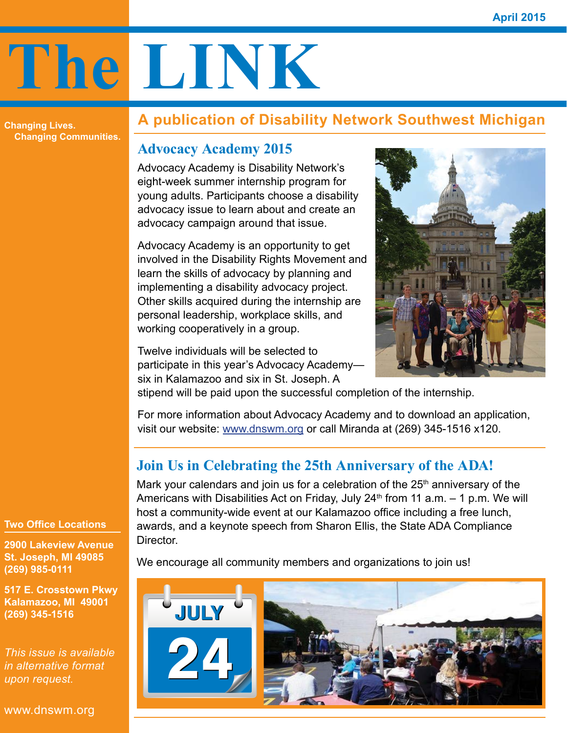# **The LINK**

**Changing Lives. Changing Communities.**

# **A publication of Disability Network Southwest Michigan**

# **Advocacy Academy 2015**

Advocacy Academy is Disability Network's eight-week summer internship program for young adults. Participants choose a disability advocacy issue to learn about and create an advocacy campaign around that issue.

Advocacy Academy is an opportunity to get involved in the Disability Rights Movement and learn the skills of advocacy by planning and implementing a disability advocacy project. Other skills acquired during the internship are personal leadership, workplace skills, and working cooperatively in a group.

Twelve individuals will be selected to participate in this year's Advocacy Academy six in Kalamazoo and six in St. Joseph. A



stipend will be paid upon the successful completion of the internship.

For more information about Advocacy Academy and to download an application, visit our website: [www.dnswm.org](http://www.dnswm.org) or call Miranda at (269) 345-1516 x120.

# **Join Us in Celebrating the 25th Anniversary of the ADA!**

Mark your calendars and join us for a celebration of the  $25<sup>th</sup>$  anniversary of the Americans with Disabilities Act on Friday, July 24<sup>th</sup> from 11 a.m.  $-$  1 p.m. We will host a community-wide event at our Kalamazoo office including a free lunch, awards, and a keynote speech from Sharon Ellis, the State ADA Compliance Director.

We encourage all community members and organizations to join us!



**Two Office Locations**

**2900 Lakeview Avenue St. Joseph, MI 49085 (269) 985-0111**

**517 E. Crosstown Pkwy Kalamazoo, MI 49001 (269) 345-1516**

*This issue is available in alternative format upon request.*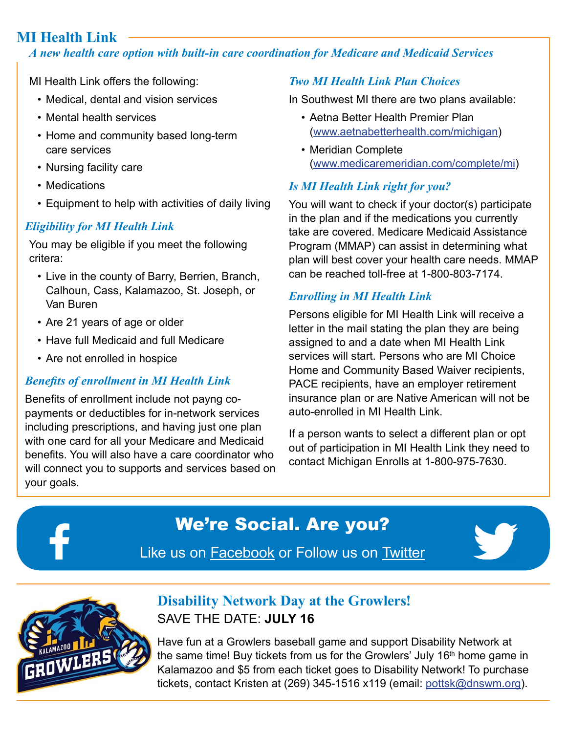# **MI Health Link**

#### *A new health care option with built-in care coordination for Medicare and Medicaid Services*

MI Health Link offers the following:

- Medical, dental and vision services
- Mental health services
- Home and community based long-term care services
- Nursing facility care
- Medications
- Equipment to help with activities of daily living

#### *Eligibility for MI Health Link*

You may be eligible if you meet the following critera:

- Live in the county of Barry, Berrien, Branch, Calhoun, Cass, Kalamazoo, St. Joseph, or Van Buren
- Are 21 years of age or older
- Have full Medicaid and full Medicare
- Are not enrolled in hospice

#### *Benefits of enrollment in MI Health Link*

Benefits of enrollment include not payng copayments or deductibles for in-network services including prescriptions, and having just one plan with one card for all your Medicare and Medicaid benefits. You will also have a care coordinator who will connect you to supports and services based on your goals.

#### *Two MI Health Link Plan Choices*

In Southwest MI there are two plans available:

- Aetna Better Health Premier Plan [\(www.aetnabetterhealth.com/michigan\)](http://www.aetnabetterhealth.com/michigan)
- Meridian Complete [\(www.medicaremeridian.com/complete/mi\)](http://www.medicaremeridian.com/complete/mi)

#### *Is MI Health Link right for you?*

You will want to check if your doctor(s) participate in the plan and if the medications you currently take are covered. Medicare Medicaid Assistance Program (MMAP) can assist in determining what plan will best cover your health care needs. MMAP can be reached toll-free at 1-800-803-7174.

#### *Enrolling in MI Health Link*

Persons eligible for MI Health Link will receive a letter in the mail stating the plan they are being assigned to and a date when MI Health Link services will start. Persons who are MI Choice Home and Community Based Waiver recipients, PACE recipients, have an employer retirement insurance plan or are Native American will not be auto-enrolled in MI Health Link.

If a person wants to select a different plan or opt out of participation in MI Health Link they need to contact Michigan Enrolls at 1-800-975-7630.

# We're Social. Are you?

Like us on [Facebook](https://www.facebook.com/DNSWM?fref=ts) or Follow us on [Twitter](https://twitter.com/DisNetSWMI)





# **Disability Network Day at the Growlers!** SAVE THE DATE: **JULY 16**

Have fun at a Growlers baseball game and support Disability Network at the same time! Buy tickets from us for the Growlers' July 16<sup>th</sup> home game in Kalamazoo and \$5 from each ticket goes to Disability Network! To purchase tickets, contact Kristen at (269) 345-1516 x119 (email: [pottsk@dnswm.org\)](mailto:pottsk%40dnswm.org?subject=).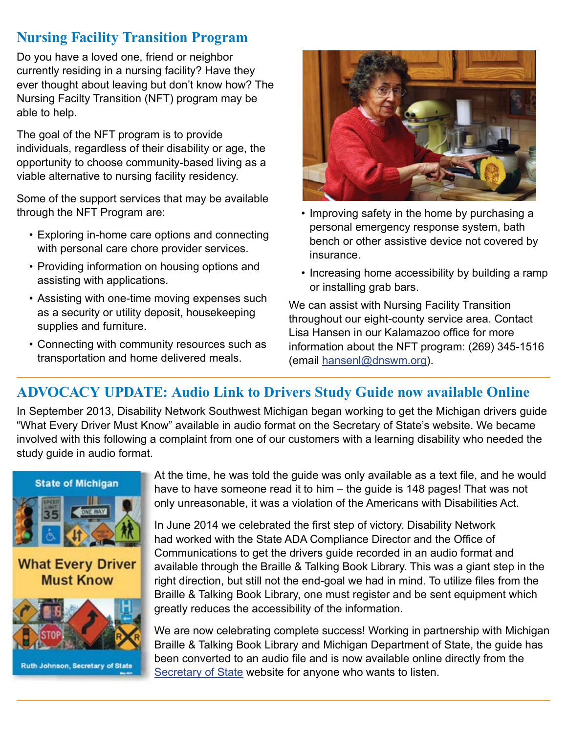## **Nursing Facility Transition Program**

Do you have a loved one, friend or neighbor currently residing in a nursing facility? Have they ever thought about leaving but don't know how? The Nursing Facilty Transition (NFT) program may be able to help.

The goal of the NFT program is to provide individuals, regardless of their disability or age, the opportunity to choose community-based living as a viable alternative to nursing facility residency.

Some of the support services that may be available through the NFT Program are:

- Exploring in-home care options and connecting with personal care chore provider services.
- Providing information on housing options and assisting with applications.
- Assisting with one-time moving expenses such as a security or utility deposit, housekeeping supplies and furniture.
- Connecting with community resources such as transportation and home delivered meals.



- Improving safety in the home by purchasing a personal emergency response system, bath bench or other assistive device not covered by insurance.
- Increasing home accessibility by building a ramp or installing grab bars.

We can assist with Nursing Facility Transition throughout our eight-county service area. Contact Lisa Hansen in our Kalamazoo office for more information about the NFT program: (269) 345-1516 (email hansenl@dnswm.org).

# **ADVOCACY UPDATE: Audio Link to Drivers Study Guide now available Online**

In September 2013, Disability Network Southwest Michigan began working to get the Michigan drivers guide "What Every Driver Must Know" available in audio format on the Secretary of State's website. We became involved with this following a complaint from one of our customers with a learning disability who needed the study guide in audio format.



Ruth Johnson, Secretary of State

At the time, he was told the guide was only available as a text file, and he would have to have someone read it to him – the quide is 148 pages! That was not only unreasonable, it was a violation of the Americans with Disabilities Act.

In June 2014 we celebrated the first step of victory. Disability Network had worked with the State ADA Compliance Director and the Office of Communications to get the drivers guide recorded in an audio format and available through the Braille & Talking Book Library. This was a giant step in the right direction, but still not the end-goal we had in mind. To utilize files from the Braille & Talking Book Library, one must register and be sent equipment which greatly reduces the accessibility of the information.

We are now celebrating complete success! Working in partnership with Michigan Braille & Talking Book Library and Michigan Department of State, the guide has been converted to an audio file and is now available online directly from the [Secretary of State](http://www.michigan.gov/sos/0,1607,7-127-1642-103522--,00.html) website for anyone who wants to listen.